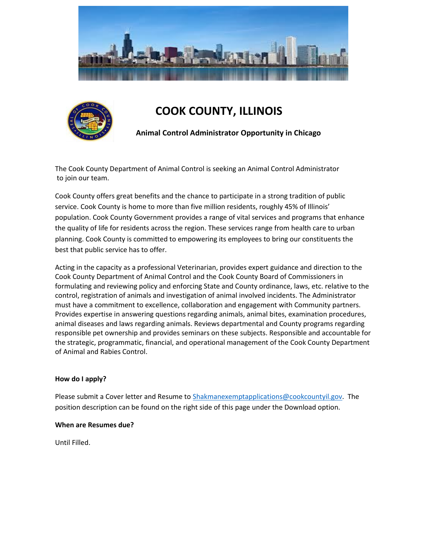



# **COOK COUNTY, ILLINOIS**

**Animal Control Administrator Opportunity in Chicago**

The Cook County Department of Animal Control is seeking an Animal Control Administrator to join our team.

Cook County offers great benefits and the chance to participate in a strong tradition of public service. Cook County is home to more than five million residents, roughly 45% of Illinois' population. Cook County Government provides a range of vital services and programs that enhance the quality of life for residents across the region. These services range from health care to urban planning. Cook County is committed to empowering its employees to bring our constituents the best that public service has to offer.

Acting in the capacity as a professional Veterinarian, provides expert guidance and direction to the Cook County Department of Animal Control and the Cook County Board of Commissioners in formulating and reviewing policy and enforcing State and County ordinance, laws, etc. relative to the control, registration of animals and investigation of animal involved incidents. The Administrator must have a commitment to excellence, collaboration and engagement with Community partners. Provides expertise in answering questions regarding animals, animal bites, examination procedures, animal diseases and laws regarding animals. Reviews departmental and County programs regarding responsible pet ownership and provides seminars on these subjects. Responsible and accountable for the strategic, programmatic, financial, and operational management of the Cook County Department of Animal and Rabies Control.

# **How do I apply?**

Please submit a Cover letter and Resume to [Shakmanexemptapplications@cookcountyil.gov.](mailto:Shakmanexemptapplications@cookcountyil.gov) The position description can be found on the right side of this page under the Download option.

#### **When are Resumes due?**

Until Filled.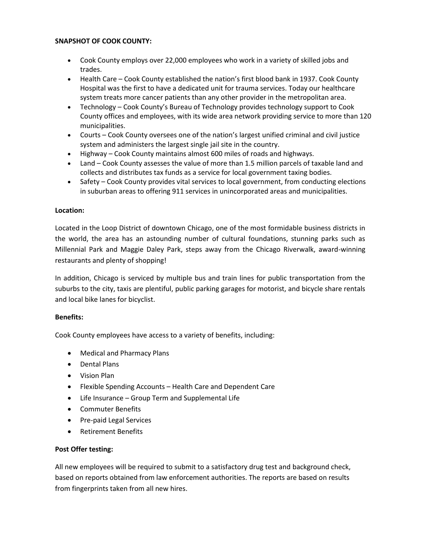# **SNAPSHOT OF COOK COUNTY:**

- Cook County employs over 22,000 employees who work in a variety of skilled jobs and trades.
- Health Care Cook County established the nation's first blood bank in 1937. Cook County Hospital was the first to have a dedicated unit for trauma services. Today our healthcare system treats more cancer patients than any other provider in the metropolitan area.
- Technology Cook County's Bureau of Technology provides technology support to Cook County offices and employees, with its wide area network providing service to more than 120 municipalities.
- Courts Cook County oversees one of the nation's largest unified criminal and civil justice system and administers the largest single jail site in the country.
- Highway Cook County maintains almost 600 miles of roads and highways.
- Land Cook County assesses the value of more than 1.5 million parcels of taxable land and collects and distributes tax funds as a service for local government taxing bodies.
- Safety Cook County provides vital services to local government, from conducting elections in suburban areas to offering 911 services in unincorporated areas and municipalities.

# **Location:**

Located in the Loop District of downtown Chicago, one of the most formidable business districts in the world, the area has an astounding number of cultural foundations, stunning parks such as Millennial Park and Maggie Daley Park, steps away from the Chicago Riverwalk, award-winning restaurants and plenty of shopping!

In addition, Chicago is serviced by multiple bus and train lines for public transportation from the suburbs to the city, taxis are plentiful, public parking garages for motorist, and bicycle share rentals and local bike lanes for bicyclist.

# **Benefits:**

Cook County employees have access to a variety of benefits, including:

- Medical and Pharmacy Plans
- Dental Plans
- Vision Plan
- Flexible Spending Accounts Health Care and Dependent Care
- Life Insurance Group Term and Supplemental Life
- Commuter Benefits
- Pre-paid Legal Services
- Retirement Benefits

# **Post Offer testing:**

All new employees will be required to submit to a satisfactory drug test and background check, based on reports obtained from law enforcement authorities. The reports are based on results from fingerprints taken from all new hires.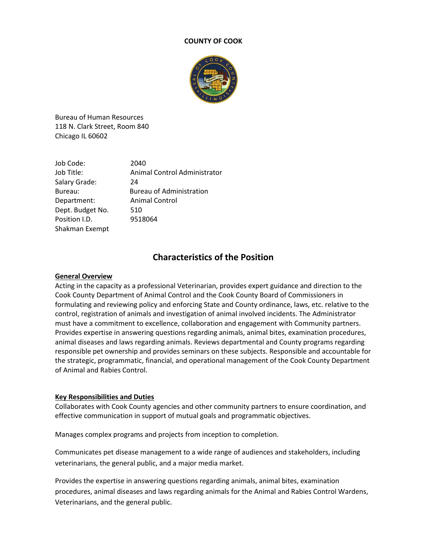#### **COUNTY OF COOK**



Bureau of Human Resources 118 N. Clark Street, Room 840 Chicago IL 60602

| Job Code:        | 2040                            |
|------------------|---------------------------------|
| Job Title:       | Animal Control Administrator    |
| Salary Grade:    | 24                              |
| Bureau:          | <b>Bureau of Administration</b> |
| Department:      | <b>Animal Control</b>           |
| Dept. Budget No. | 510                             |
| Position I.D.    | 9518064                         |
| Shakman Exempt   |                                 |

# **Characteristics of the Position**

#### **General Overview**

Acting in the capacity as a professional Veterinarian, provides expert guidance and direction to the Cook County Department of Animal Control and the Cook County Board of Commissioners in formulating and reviewing policy and enforcing State and County ordinance, laws, etc. relative to the control, registration of animals and investigation of animal involved incidents. The Administrator must have a commitment to excellence, collaboration and engagement with Community partners. Provides expertise in answering questions regarding animals, animal bites, examination procedures, animal diseases and laws regarding animals. Reviews departmental and County programs regarding responsible pet ownership and provides seminars on these subjects. Responsible and accountable for the strategic, programmatic, financial, and operational management of the Cook County Department of Animal and Rabies Control.

# **Key Responsibilities and Duties**

Collaborates with Cook County agencies and other community partners to ensure coordination, and effective communication in support of mutual goals and programmatic objectives.

Manages complex programs and projects from inception to completion.

Communicates pet disease management to a wide range of audiences and stakeholders, including veterinarians, the general public, and a major media market.

Provides the expertise in answering questions regarding animals, animal bites, examination procedures, animal diseases and laws regarding animals for the Animal and Rabies Control Wardens, Veterinarians, and the general public.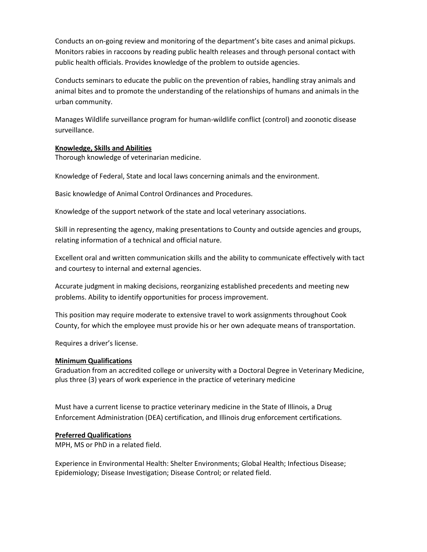Conducts an on-going review and monitoring of the department's bite cases and animal pickups. Monitors rabies in raccoons by reading public health releases and through personal contact with public health officials. Provides knowledge of the problem to outside agencies.

Conducts seminars to educate the public on the prevention of rabies, handling stray animals and animal bites and to promote the understanding of the relationships of humans and animals in the urban community.

Manages Wildlife surveillance program for human-wildlife conflict (control) and zoonotic disease surveillance.

# **Knowledge, Skills and Abilities**

Thorough knowledge of veterinarian medicine.

Knowledge of Federal, State and local laws concerning animals and the environment.

Basic knowledge of Animal Control Ordinances and Procedures.

Knowledge of the support network of the state and local veterinary associations.

Skill in representing the agency, making presentations to County and outside agencies and groups, relating information of a technical and official nature.

Excellent oral and written communication skills and the ability to communicate effectively with tact and courtesy to internal and external agencies.

Accurate judgment in making decisions, reorganizing established precedents and meeting new problems. Ability to identify opportunities for process improvement.

This position may require moderate to extensive travel to work assignments throughout Cook County, for which the employee must provide his or her own adequate means of transportation.

Requires a driver's license.

# **Minimum Qualifications**

Graduation from an accredited college or university with a Doctoral Degree in Veterinary Medicine, plus three (3) years of work experience in the practice of veterinary medicine

Must have a current license to practice veterinary medicine in the State of Illinois, a Drug Enforcement Administration (DEA) certification, and Illinois drug enforcement certifications.

# **Preferred Qualifications**

MPH, MS or PhD in a related field.

Experience in Environmental Health: Shelter Environments; Global Health; Infectious Disease; Epidemiology; Disease Investigation; Disease Control; or related field.